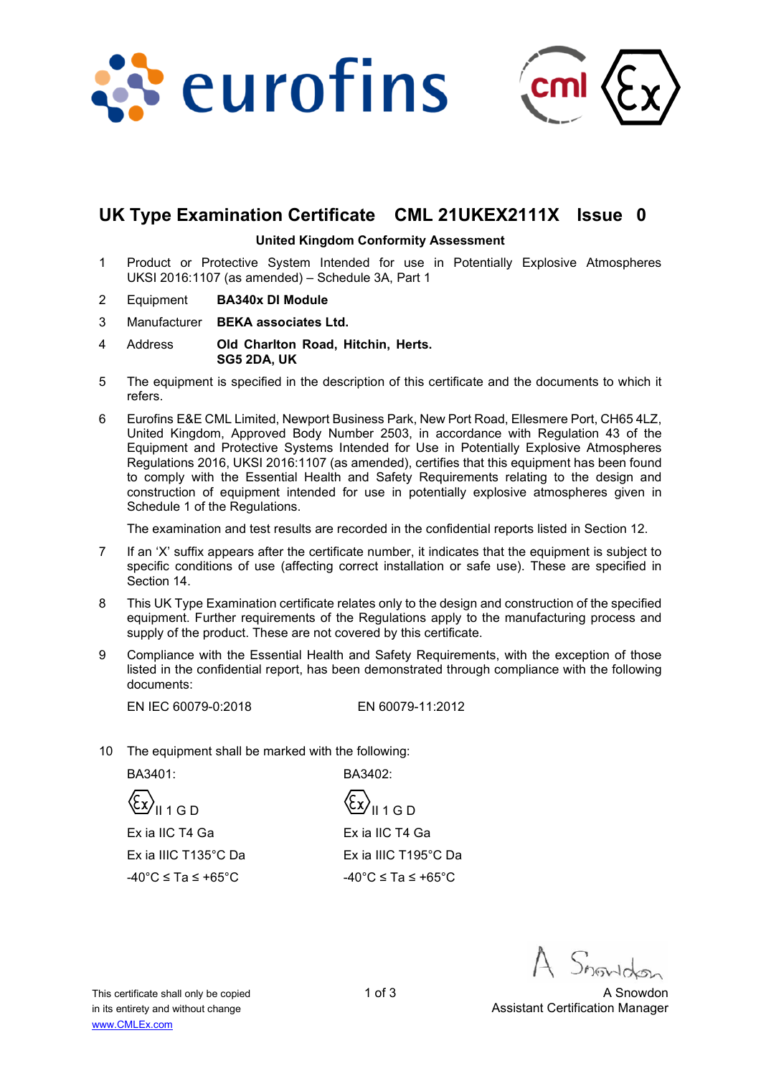



# **UK Type Examination Certificate CML 21UKEX2111X Issue 0**

#### **United Kingdom Conformity Assessment**

- 1 Product or Protective System Intended for use in Potentially Explosive Atmospheres UKSI 2016:1107 (as amended) – Schedule 3A, Part 1
- 2 Equipment **BA340x DI Module**
- 3 Manufacturer **BEKA associates Ltd.**
- 4 Address **Old Charlton Road, Hitchin, Herts. SG5 2DA, UK**
- 5 The equipment is specified in the description of this certificate and the documents to which it refers.
- 6 Eurofins E&E CML Limited, Newport Business Park, New Port Road, Ellesmere Port, CH65 4LZ, United Kingdom, Approved Body Number 2503, in accordance with Regulation 43 of the Equipment and Protective Systems Intended for Use in Potentially Explosive Atmospheres Regulations 2016, UKSI 2016:1107 (as amended), certifies that this equipment has been found to comply with the Essential Health and Safety Requirements relating to the design and construction of equipment intended for use in potentially explosive atmospheres given in Schedule 1 of the Regulations.

The examination and test results are recorded in the confidential reports listed in Section 12.

- 7 If an 'X' suffix appears after the certificate number, it indicates that the equipment is subject to specific conditions of use (affecting correct installation or safe use). These are specified in Section 14.
- 8 This UK Type Examination certificate relates only to the design and construction of the specified equipment. Further requirements of the Regulations apply to the manufacturing process and supply of the product. These are not covered by this certificate.
- 9 Compliance with the Essential Health and Safety Requirements, with the exception of those listed in the confidential report, has been demonstrated through compliance with the following documents:

EN IEC 60079-0:2018 EN 60079-11:2012

10 The equipment shall be marked with the following:

BA3401: BA3402:

 $\langle \xi \chi \rangle_{\parallel 1 \, \text{G D}}$   $\langle \xi \chi \rangle_{\parallel 1 \, \text{G D}}$  Ex ia IIC T4 Ga Ex ia IIIC T135°C Da

Ex ia IIC T4 Ga Ex ia IIIC T195°C Da  $-40^{\circ}$ C ≤ Ta ≤ +65°C -40°C ≤ Ta ≤ +65°C

This certificate shall only be copied 1 of 3 A Snowdon 1 of 3 in its entirety and without change Assistant Certification Manager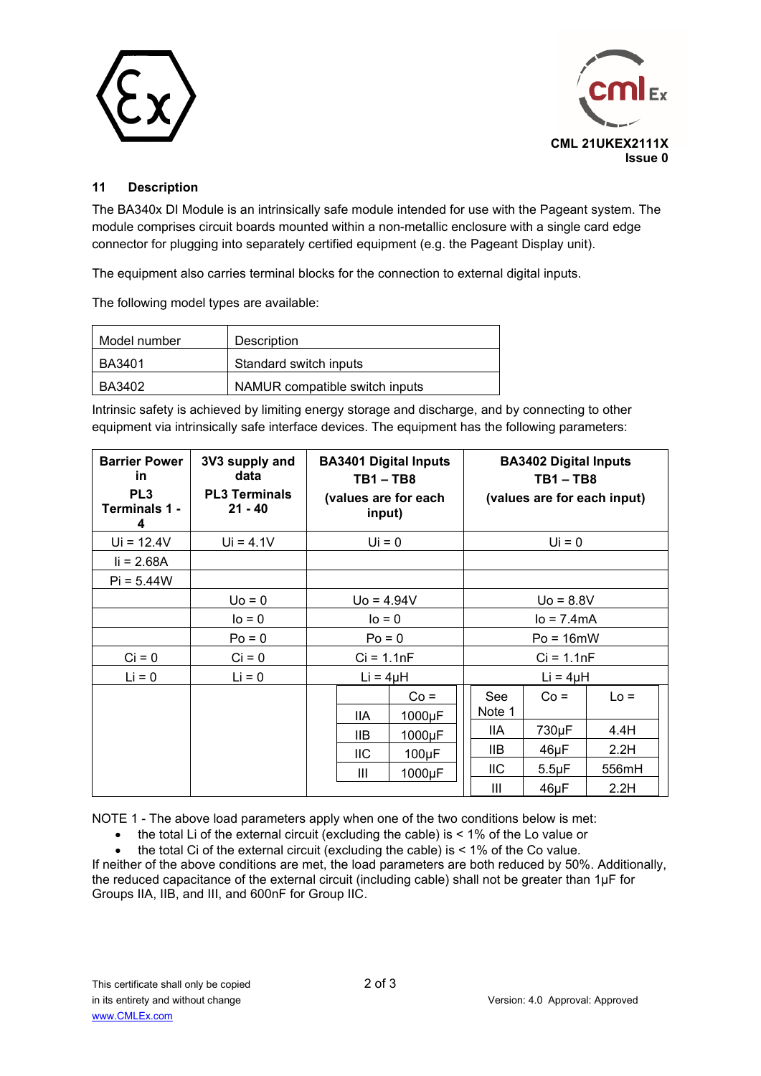



### **11 Description**

The BA340x DI Module is an intrinsically safe module intended for use with the Pageant system. The module comprises circuit boards mounted within a non-metallic enclosure with a single card edge connector for plugging into separately certified equipment (e.g. the Pageant Display unit).

The equipment also carries terminal blocks for the connection to external digital inputs.

The following model types are available:

| Model number  | Description                    |
|---------------|--------------------------------|
| BA3401        | Standard switch inputs         |
| <b>BA3402</b> | NAMUR compatible switch inputs |

Intrinsic safety is achieved by limiting energy storage and discharge, and by connecting to other equipment via intrinsically safe interface devices. The equipment has the following parameters:

| <b>Barrier Power</b><br>in<br>PL <sub>3</sub><br>Terminals 1 -<br>4 | 3V3 supply and<br>data<br><b>PL3 Terminals</b><br>$21 - 40$ | <b>BA3401 Digital Inputs</b><br>$TB1 - TB8$<br>(values are for each<br>input) |                | <b>BA3402 Digital Inputs</b><br>$TB1 - TB8$<br>(values are for each input) |                      |              |        |
|---------------------------------------------------------------------|-------------------------------------------------------------|-------------------------------------------------------------------------------|----------------|----------------------------------------------------------------------------|----------------------|--------------|--------|
| $Ui = 12.4V$                                                        | $Ui = 4.1V$                                                 |                                                                               | $Ui = 0$       |                                                                            | $Ui = 0$             |              |        |
| $I = 2.68A$                                                         |                                                             |                                                                               |                |                                                                            |                      |              |        |
| $Pi = 5.44W$                                                        |                                                             |                                                                               |                |                                                                            |                      |              |        |
|                                                                     | $Uo = 0$                                                    | $U_0 = 4.94V$                                                                 |                |                                                                            |                      | $U_0 = 8.8V$ |        |
|                                                                     | $I_0 = 0$                                                   | $IO = 0$                                                                      |                | $lo = 7.4mA$                                                               |                      |              |        |
|                                                                     | $Po = 0$                                                    | $Po = 0$                                                                      |                | $Po = 16mW$                                                                |                      |              |        |
| $Ci = 0$                                                            | $Ci = 0$                                                    | $Ci = 1.1nF$                                                                  |                | $Ci = 1.1nF$                                                               |                      |              |        |
| $Li = 0$                                                            | $Li = 0$                                                    | $Li = 4\mu H$                                                                 |                |                                                                            | $Li = 4\mu H$        |              |        |
|                                                                     |                                                             |                                                                               | <b>IIA</b>     | $Co =$<br>1000µF                                                           | <b>See</b><br>Note 1 | $Co =$       | $Lo =$ |
|                                                                     |                                                             |                                                                               | <b>IIB</b>     | 1000µF                                                                     | 11A                  | 730µF        | 4.4H   |
|                                                                     |                                                             |                                                                               | <b>IIC</b>     | $100\mu F$                                                                 | 11B                  | 46µF         | 2.2H   |
|                                                                     |                                                             |                                                                               | $\mathbf{III}$ | 1000µF                                                                     | <b>IIC</b>           | $5.5 \mu F$  | 556mH  |
|                                                                     |                                                             |                                                                               |                |                                                                            | Ш                    | $46\mu F$    | 2.2H   |

NOTE 1 - The above load parameters apply when one of the two conditions below is met:

the total Li of the external circuit (excluding the cable) is < 1% of the Lo value or

the total Ci of the external circuit (excluding the cable) is  $< 1\%$  of the Co value.

If neither of the above conditions are met, the load parameters are both reduced by 50%. Additionally, the reduced capacitance of the external circuit (including cable) shall not be greater than 1µF for Groups IIA, IIB, and III, and 600nF for Group IIC.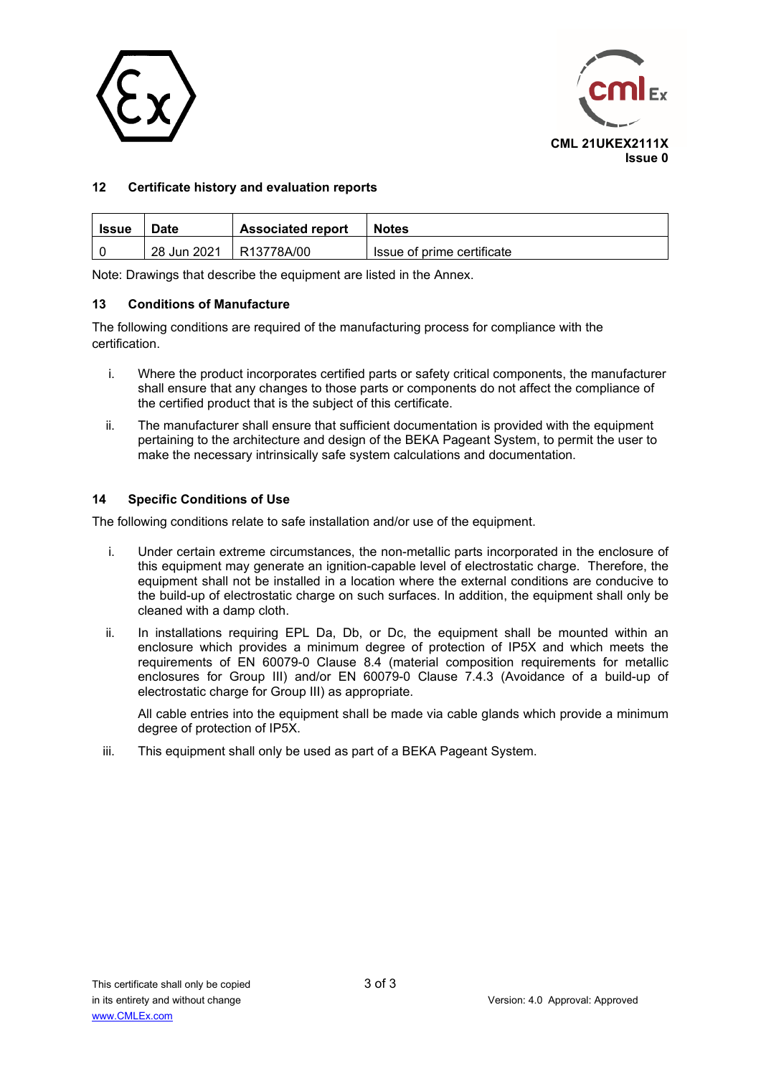



### **12 Certificate history and evaluation reports**

| Issue | Date        | <b>Associated report</b> | <b>Notes</b>               |
|-------|-------------|--------------------------|----------------------------|
|       | 28 Jun 2021 | R13778A/00               | Issue of prime certificate |

Note: Drawings that describe the equipment are listed in the Annex.

#### **13 Conditions of Manufacture**

The following conditions are required of the manufacturing process for compliance with the certification.

- i. Where the product incorporates certified parts or safety critical components, the manufacturer shall ensure that any changes to those parts or components do not affect the compliance of the certified product that is the subject of this certificate.
- ii. The manufacturer shall ensure that sufficient documentation is provided with the equipment pertaining to the architecture and design of the BEKA Pageant System, to permit the user to make the necessary intrinsically safe system calculations and documentation.

#### **14 Specific Conditions of Use**

The following conditions relate to safe installation and/or use of the equipment.

- i. Under certain extreme circumstances, the non-metallic parts incorporated in the enclosure of this equipment may generate an ignition-capable level of electrostatic charge. Therefore, the equipment shall not be installed in a location where the external conditions are conducive to the build-up of electrostatic charge on such surfaces. In addition, the equipment shall only be cleaned with a damp cloth.
- ii. In installations requiring EPL Da, Db, or Dc, the equipment shall be mounted within an enclosure which provides a minimum degree of protection of IP5X and which meets the requirements of EN 60079-0 Clause 8.4 (material composition requirements for metallic enclosures for Group III) and/or EN 60079-0 Clause 7.4.3 (Avoidance of a build-up of electrostatic charge for Group III) as appropriate.

All cable entries into the equipment shall be made via cable glands which provide a minimum degree of protection of IP5X.

iii. This equipment shall only be used as part of a BEKA Pageant System.